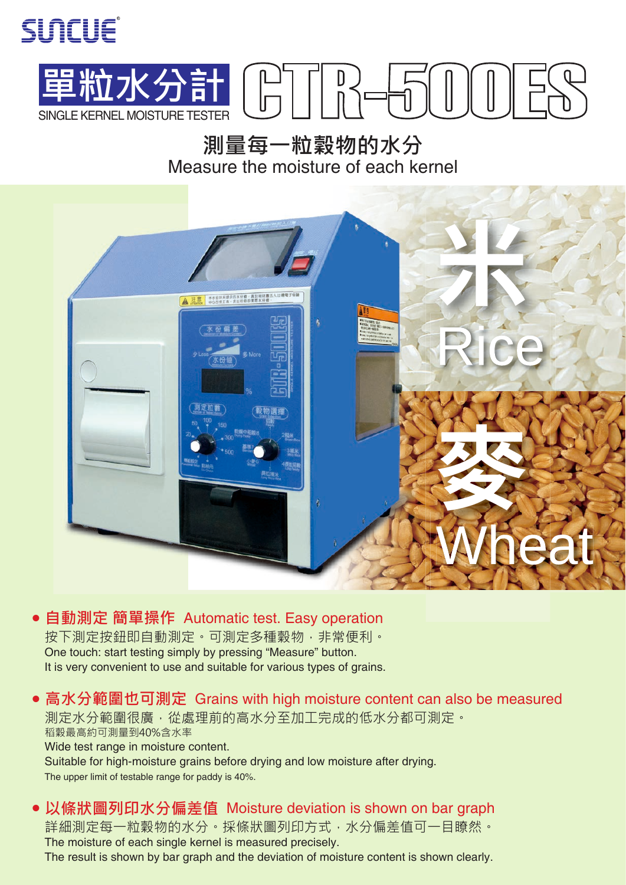



**測量每一粒穀物的水分** Measure the moisture of each kernel



**● 自動測定 簡單操作** Automatic test. Easy operation One touch: start testing simply by pressing "Measure" button. It is very convenient to use and suitable for various types of grains. 按下測定按鈕即自動測定。可測定多種穀物,非常便利。

**● 高水分範圍也可測定** Grains with high moisture content can also be measured Wide test range in moisture content. Suitable for high-moisture grains before drying and low moisture after drying. The upper limit of testable range for paddy is 40%. 測定水分範圍很廣,從處理前的高水分至加工完成的低水分都可測定。 稻穀最高約可測量到40%含水率

**● 以條狀圖列印水分偏差值** Moisture deviation is shown on bar graph The moisture of each single kernel is measured precisely. The result is shown by bar graph and the deviation of moisture content is shown clearly. 詳細測定每一粒穀物的水分。採條狀圖列印方式,水分偏差值可一目瞭然。